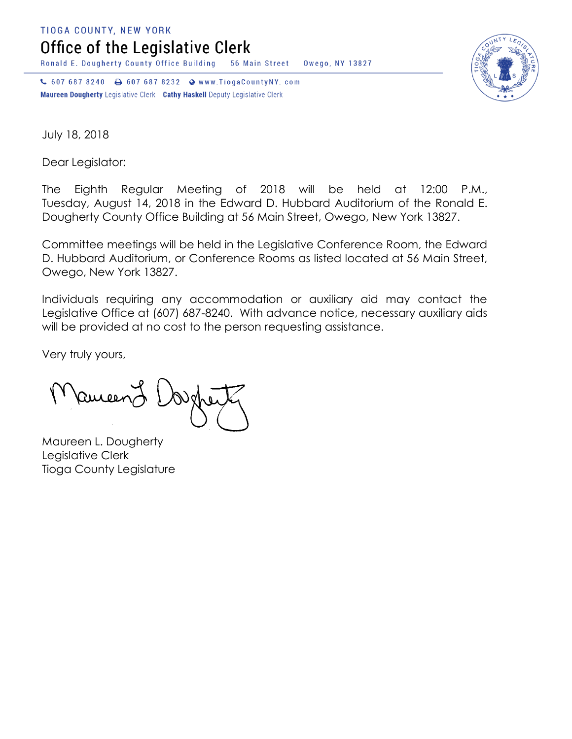**TIOGA COUNTY, NEW YORK** 

Office of the Legislative Clerk

Ronald E. Dougherty County Office Building 56 Main Street Owego, NY 13827

↓ 607 687 8240 → 607 687 8232 → www.TiogaCountyNY.com Maureen Dougherty Legislative Clerk Cathy Haskell Deputy Legislative Clerk



July 18, 2018

Dear Legislator:

The Eighth Regular Meeting of 2018 will be held at 12:00 P.M., Tuesday, August 14, 2018 in the Edward D. Hubbard Auditorium of the Ronald E. Dougherty County Office Building at 56 Main Street, Owego, New York 13827.

Committee meetings will be held in the Legislative Conference Room, the Edward D. Hubbard Auditorium, or Conference Rooms as listed located at 56 Main Street, Owego, New York 13827.

Individuals requiring any accommodation or auxiliary aid may contact the Legislative Office at (607) 687-8240. With advance notice, necessary auxiliary aids will be provided at no cost to the person requesting assistance.

Very truly yours,

Ruceen

Maureen L. Dougherty Legislative Clerk Tioga County Legislature